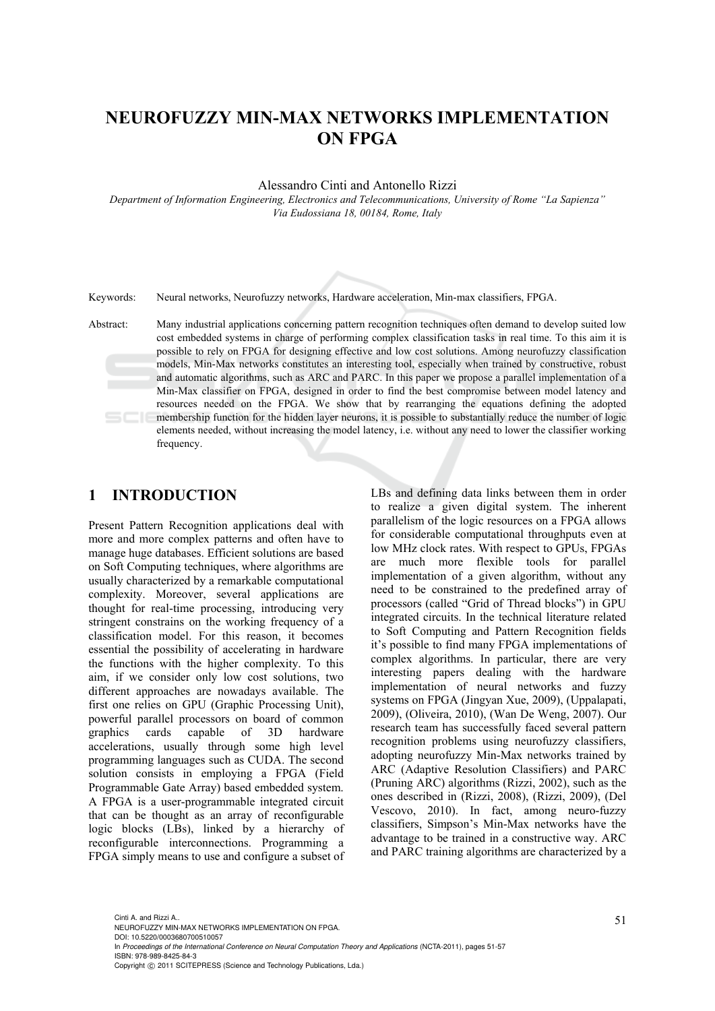# **NEUROFUZZY MIN-MAX NETWORKS IMPLEMENTATION ON FPGA**

Alessandro Cinti and Antonello Rizzi

*Department of Information Engineering, Electronics and Telecommunications, University of Rome "La Sapienza" Via Eudossiana 18, 00184, Rome, Italy* 

Keywords: Neural networks, Neurofuzzy networks, Hardware acceleration, Min-max classifiers, FPGA.

Abstract: Many industrial applications concerning pattern recognition techniques often demand to develop suited low cost embedded systems in charge of performing complex classification tasks in real time. To this aim it is possible to rely on FPGA for designing effective and low cost solutions. Among neurofuzzy classification models, Min-Max networks constitutes an interesting tool, especially when trained by constructive, robust and automatic algorithms, such as ARC and PARC. In this paper we propose a parallel implementation of a Min-Max classifier on FPGA, designed in order to find the best compromise between model latency and resources needed on the FPGA. We show that by rearranging the equations defining the adopted membership function for the hidden layer neurons, it is possible to substantially reduce the number of logic elements needed, without increasing the model latency, i.e. without any need to lower the classifier working frequency.

### **1 INTRODUCTION**

Present Pattern Recognition applications deal with more and more complex patterns and often have to manage huge databases. Efficient solutions are based on Soft Computing techniques, where algorithms are usually characterized by a remarkable computational complexity. Moreover, several applications are thought for real-time processing, introducing very stringent constrains on the working frequency of a classification model. For this reason, it becomes essential the possibility of accelerating in hardware the functions with the higher complexity. To this aim, if we consider only low cost solutions, two different approaches are nowadays available. The first one relies on GPU (Graphic Processing Unit), powerful parallel processors on board of common graphics cards capable of 3D hardware accelerations, usually through some high level programming languages such as CUDA. The second solution consists in employing a FPGA (Field Programmable Gate Array) based embedded system. A FPGA is a user-programmable integrated circuit that can be thought as an array of reconfigurable logic blocks (LBs), linked by a hierarchy of reconfigurable interconnections. Programming a FPGA simply means to use and configure a subset of LBs and defining data links between them in order to realize a given digital system. The inherent parallelism of the logic resources on a FPGA allows for considerable computational throughputs even at low MHz clock rates. With respect to GPUs, FPGAs are much more flexible tools for parallel implementation of a given algorithm, without any need to be constrained to the predefined array of processors (called "Grid of Thread blocks") in GPU integrated circuits. In the technical literature related to Soft Computing and Pattern Recognition fields it's possible to find many FPGA implementations of complex algorithms. In particular, there are very interesting papers dealing with the hardware implementation of neural networks and fuzzy systems on FPGA (Jingyan Xue, 2009), (Uppalapati, 2009), (Oliveira, 2010), (Wan De Weng, 2007). Our research team has successfully faced several pattern recognition problems using neurofuzzy classifiers, adopting neurofuzzy Min-Max networks trained by ARC (Adaptive Resolution Classifiers) and PARC (Pruning ARC) algorithms (Rizzi, 2002), such as the ones described in (Rizzi, 2008), (Rizzi, 2009), (Del Vescovo, 2010). In fact, among neuro-fuzzy classifiers, Simpson's Min-Max networks have the advantage to be trained in a constructive way. ARC and PARC training algorithms are characterized by a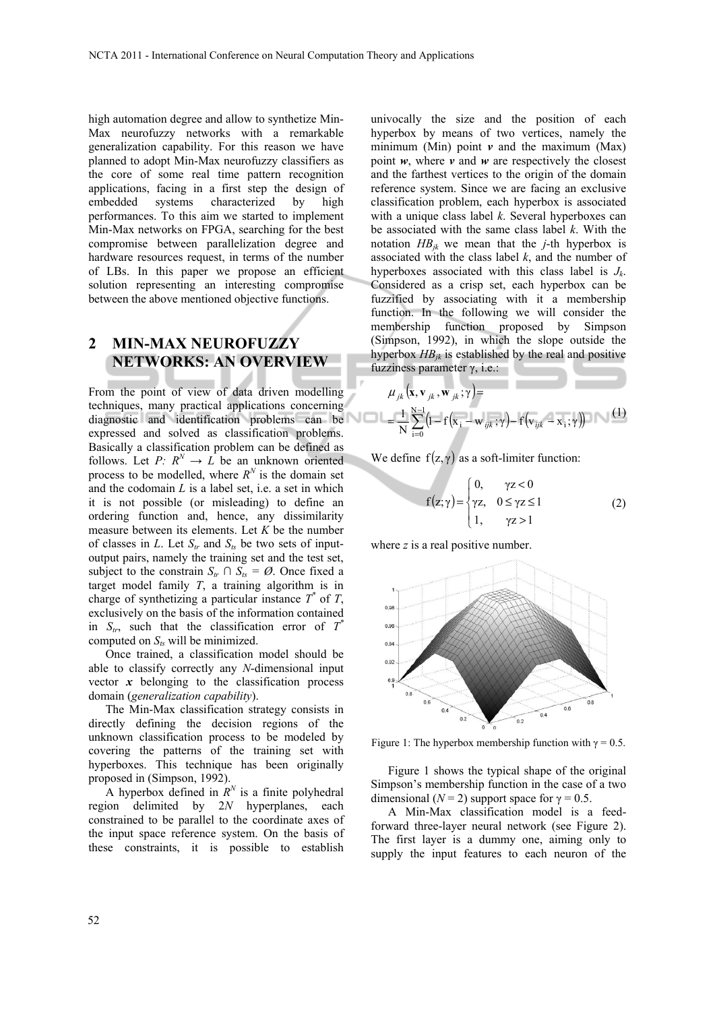high automation degree and allow to synthetize Min-Max neurofuzzy networks with a remarkable generalization capability. For this reason we have planned to adopt Min-Max neurofuzzy classifiers as the core of some real time pattern recognition applications, facing in a first step the design of embedded systems characterized by high performances. To this aim we started to implement Min-Max networks on FPGA, searching for the best compromise between parallelization degree and hardware resources request, in terms of the number of LBs. In this paper we propose an efficient solution representing an interesting compromise between the above mentioned objective functions.

### **2 MIN-MAX NEUROFUZZY NETWORKS: AN OVERVIEW**

From the point of view of data driven modelling techniques, many practical applications concerning diagnostic and identification problems can be expressed and solved as classification problems. Basically a classification problem can be defined as follows. Let *P*:  $R^N \rightarrow L$  be an unknown oriented process to be modelled, where  $R^N$  is the domain set and the codomain *L* is a label set, i.e. a set in which it is not possible (or misleading) to define an ordering function and, hence, any dissimilarity measure between its elements. Let *K* be the number of classes in *L*. Let  $S_{tr}$  and  $S_{ts}$  be two sets of inputoutput pairs, namely the training set and the test set, subject to the constrain  $S_{tr} \cap S_{ts} = \emptyset$ . Once fixed a target model family *T*, a training algorithm is in charge of synthetizing a particular instance  $T^*$  of  $T$ , exclusively on the basis of the information contained in  $S_{tr}$ , such that the classification error of  $T^*$ computed on  $S_{ts}$  will be minimized.

Once trained, a classification model should be able to classify correctly any *N*-dimensional input vector  $x$  belonging to the classification process domain (*generalization capability*).

The Min-Max classification strategy consists in directly defining the decision regions of the unknown classification process to be modeled by covering the patterns of the training set with hyperboxes. This technique has been originally proposed in (Simpson, 1992).

A hyperbox defined in  $R^N$  is a finite polyhedral region delimited by 2*N* hyperplanes, each constrained to be parallel to the coordinate axes of the input space reference system. On the basis of these constraints, it is possible to establish

univocally the size and the position of each hyperbox by means of two vertices, namely the minimum (Min) point  $\nu$  and the maximum (Max) point  $w$ , where  $v$  and  $w$  are respectively the closest and the farthest vertices to the origin of the domain reference system. Since we are facing an exclusive classification problem, each hyperbox is associated with a unique class label *k*. Several hyperboxes can be associated with the same class label *k*. With the notation  $HB_{ik}$  we mean that the *j*-th hyperbox is associated with the class label *k*, and the number of hyperboxes associated with this class label is *Jk*. Considered as a crisp set, each hyperbox can be fuzzified by associating with it a membership function. In the following we will consider the membership function proposed by Simpson (Simpson, 1992), in which the slope outside the hyperbox  $HB_{jk}$  is established by the real and positive fuzziness parameter  $γ$ , i.e.:

$$
\mu_{jk}(\mathbf{x}, \mathbf{v}_{jk}, \mathbf{w}_{jk}; \gamma) =
$$
  
=  $\frac{1}{N} \sum_{i=0}^{N-1} (1 - f(\mathbf{x}_i - \mathbf{w}_{ijk}; \gamma) - f(\mathbf{v}_{ijk} - \mathbf{x}_i; \gamma))$  (1)

We define  $f(z, \gamma)$  as a soft-limiter function:

$$
f(z; \gamma) = \begin{cases} 0, & \gamma z < 0 \\ \gamma z, & 0 \le \gamma z \le 1 \\ 1, & \gamma z > 1 \end{cases}
$$
 (2)

where *z* is a real positive number.



Figure 1: The hyperbox membership function with  $\gamma = 0.5$ .

Figure 1 shows the typical shape of the original Simpson's membership function in the case of a two dimensional  $(N = 2)$  support space for  $\gamma = 0.5$ .

A Min-Max classification model is a feedforward three-layer neural network (see Figure 2). The first layer is a dummy one, aiming only to supply the input features to each neuron of the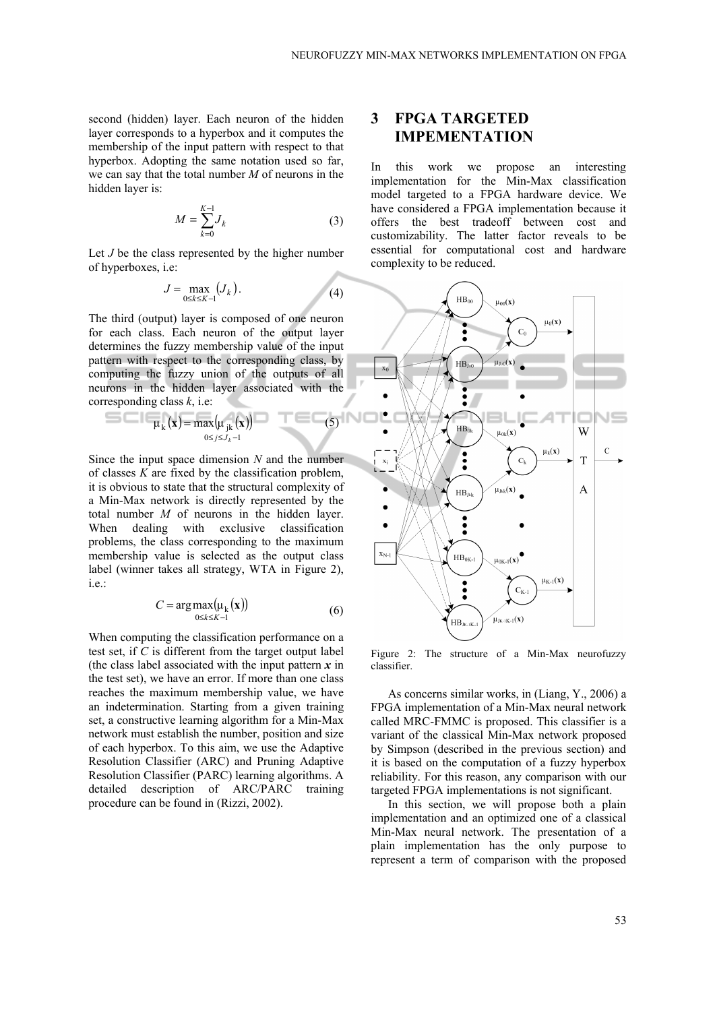second (hidden) layer. Each neuron of the hidden layer corresponds to a hyperbox and it computes the membership of the input pattern with respect to that hyperbox. Adopting the same notation used so far, we can say that the total number *M* of neurons in the hidden layer is:

$$
M = \sum_{k=0}^{K-1} J_k \tag{3}
$$

Let *J* be the class represented by the higher number of hyperboxes, i.e:

$$
J = \max_{0 \le k \le K-1} (J_k). \tag{4}
$$

The third (output) layer is composed of one neuron for each class. Each neuron of the output layer determines the fuzzy membership value of the input pattern with respect to the corresponding class, by computing the fuzzy union of the outputs of all neurons in the hidden layer associated with the corresponding class *k*, i.e:

$$
\mu_k(\mathbf{x}) = \max_{0 \le j \le J_k - 1} (\mathbf{x})
$$
 (5)

Since the input space dimension *N* and the number of classes *K* are fixed by the classification problem, it is obvious to state that the structural complexity of a Min-Max network is directly represented by the total number *M* of neurons in the hidden layer. When dealing with exclusive classification problems, the class corresponding to the maximum membership value is selected as the output class label (winner takes all strategy, WTA in Figure 2), i.e.:

$$
C = \arg \max_{0 \le k \le K-1} (\mu_k(\mathbf{x})) \tag{6}
$$

When computing the classification performance on a test set, if *C* is different from the target output label (the class label associated with the input pattern *x* in the test set), we have an error. If more than one class reaches the maximum membership value, we have an indetermination. Starting from a given training set, a constructive learning algorithm for a Min-Max network must establish the number, position and size of each hyperbox. To this aim, we use the Adaptive Resolution Classifier (ARC) and Pruning Adaptive Resolution Classifier (PARC) learning algorithms. A detailed description of ARC/PARC training procedure can be found in (Rizzi, 2002).

# **3 FPGA TARGETED IMPEMENTATION**

In this work we propose an interesting implementation for the Min-Max classification model targeted to a FPGA hardware device. We have considered a FPGA implementation because it offers the best tradeoff between cost and customizability. The latter factor reveals to be essential for computational cost and hardware complexity to be reduced.



Figure 2: The structure of a Min-Max neurofuzzy classifier.

As concerns similar works, in (Liang, Y., 2006) a FPGA implementation of a Min-Max neural network called MRC-FMMC is proposed. This classifier is a variant of the classical Min-Max network proposed by Simpson (described in the previous section) and it is based on the computation of a fuzzy hyperbox reliability. For this reason, any comparison with our targeted FPGA implementations is not significant.

In this section, we will propose both a plain implementation and an optimized one of a classical Min-Max neural network. The presentation of a plain implementation has the only purpose to represent a term of comparison with the proposed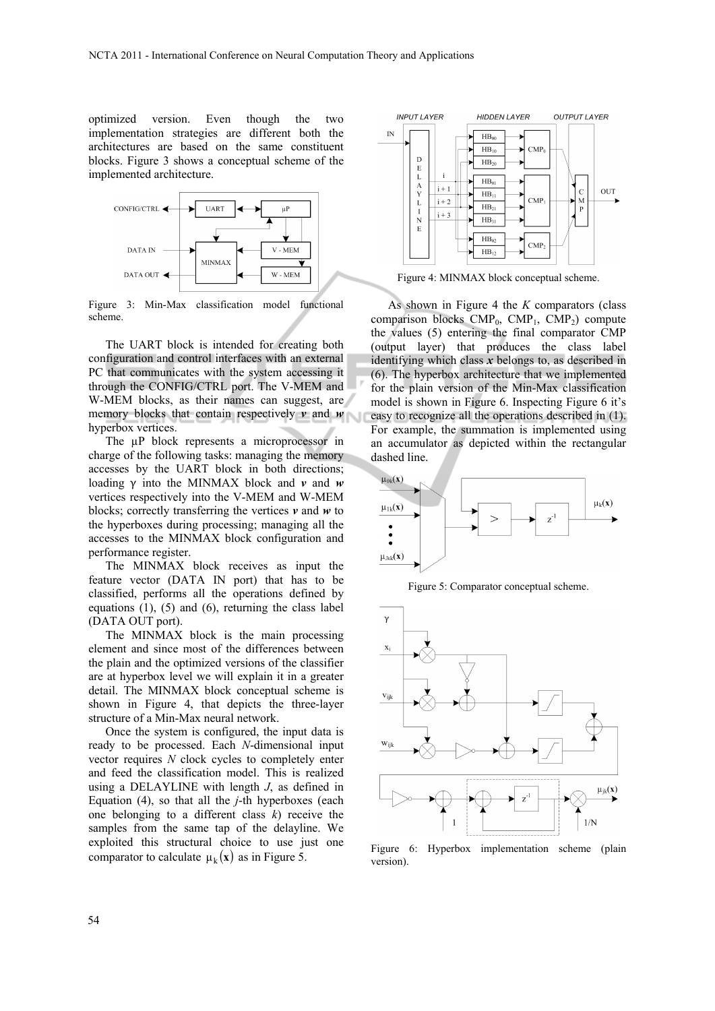optimized version. Even though the two implementation strategies are different both the architectures are based on the same constituent blocks. Figure 3 shows a conceptual scheme of the implemented architecture.



Figure 3: Min-Max classification model functional scheme.

The UART block is intended for creating both configuration and control interfaces with an external PC that communicates with the system accessing it through the CONFIG/CTRL port. The V-MEM and W-MEM blocks, as their names can suggest, are memory blocks that contain respectively *v* and *w* hyperbox vertices.

The  $\mu$ P block represents a microprocessor in charge of the following tasks: managing the memory accesses by the UART block in both directions; loading γ into the MINMAX block and *v* and *w* vertices respectively into the V-MEM and W-MEM blocks; correctly transferring the vertices *v* and *w* to the hyperboxes during processing; managing all the accesses to the MINMAX block configuration and performance register.

The MINMAX block receives as input the feature vector (DATA IN port) that has to be classified, performs all the operations defined by equations (1), (5) and (6), returning the class label (DATA OUT port).

The MINMAX block is the main processing element and since most of the differences between the plain and the optimized versions of the classifier are at hyperbox level we will explain it in a greater detail. The MINMAX block conceptual scheme is shown in Figure 4, that depicts the three-layer structure of a Min-Max neural network.

Once the system is configured, the input data is ready to be processed. Each *N*-dimensional input vector requires *N* clock cycles to completely enter and feed the classification model. This is realized using a DELAYLINE with length *J*, as defined in Equation (4), so that all the *j*-th hyperboxes (each one belonging to a different class *k*) receive the samples from the same tap of the delayline. We exploited this structural choice to use just one comparator to calculate  $\mu_k(\mathbf{x})$  as in Figure 5.



Figure 4: MINMAX block conceptual scheme.

As shown in Figure 4 the *K* comparators (class comparison blocks  $\text{CMP}_0$ ,  $\text{CMP}_1$ ,  $\text{CMP}_2$ ) compute the values (5) entering the final comparator CMP (output layer) that produces the class label identifying which class *x* belongs to, as described in (6). The hyperbox architecture that we implemented for the plain version of the Min-Max classification model is shown in Figure 6. Inspecting Figure 6 it's easy to recognize all the operations described in (1). For example, the summation is implemented using an accumulator as depicted within the rectangular dashed line.



Figure 5: Comparator conceptual scheme.



Figure 6: Hyperbox implementation scheme (plain version).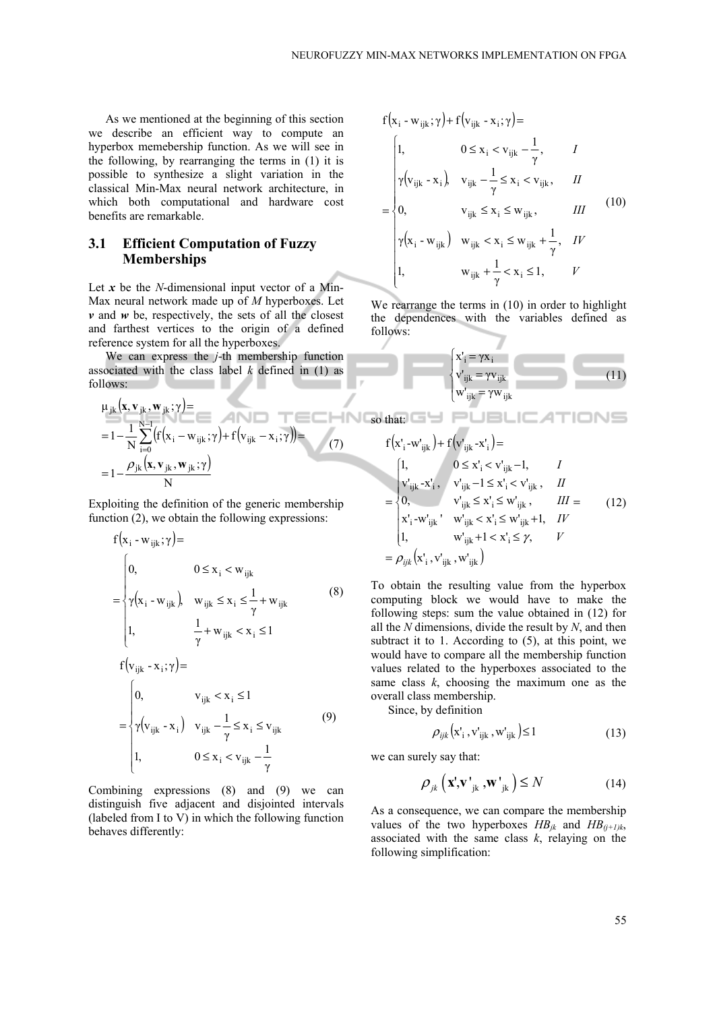As we mentioned at the beginning of this section we describe an efficient way to compute an hyperbox memebership function. As we will see in the following, by rearranging the terms in (1) it is possible to synthesize a slight variation in the classical Min-Max neural network architecture, in which both computational and hardware cost benefits are remarkable.

#### **3.1 Efficient Computation of Fuzzy Memberships**

Let *x* be the *N*-dimensional input vector of a Min-Max neural network made up of *M* hyperboxes. Let  $\nu$  and  $\nu$  be, respectively, the sets of all the closest and farthest vertices to the origin of a defined reference system for all the hyperboxes.

We can express the *j*-th membership function associated with the class label *k* defined in (1) as follows:

$$
\mu_{jk}(\mathbf{x}, \mathbf{v}_{jk}, \mathbf{w}_{jk}; \gamma) =
$$
\n
$$
= 1 - \frac{1}{N} \sum_{i=0}^{N-1} (f(\mathbf{x}_i - \mathbf{w}_{ijk}; \gamma) + f(\mathbf{v}_{ijk} - \mathbf{x}_i; \gamma)) =
$$
\n
$$
= 1 - \frac{\rho_{jk}(\mathbf{x}, \mathbf{v}_{jk}, \mathbf{w}_{jk}; \gamma)}{N}
$$
\n(7)

Exploiting the definition of the generic membership function (2), we obtain the following expressions:

$$
f(x_{i} - w_{ijk}; \gamma) =
$$
\n
$$
= \begin{cases}\n0, & 0 \le x_{i} < w_{ijk} \\
\gamma(x_{i} - w_{ijk}), & w_{ijk} \le x_{i} \le \frac{1}{\gamma} + w_{ijk} \\
1, & \frac{1}{\gamma} + w_{ijk} < x_{i} \le 1\n\end{cases}
$$
\n(8)\n
$$
f(v_{ijk} - x_{i}; \gamma) =
$$
\n
$$
= \begin{cases}\n0, & v_{ijk} < x_{i} \le 1 \\
\gamma(v_{ijk} - x_{i}), & v_{ijk} - \frac{1}{\gamma} \le x_{i} \le v_{ijk} \\
1, & 0 \le x_{i} < v_{ijk} - \frac{1}{\gamma}\n\end{cases}
$$
\n(9)

Combining expressions (8) and (9) we can distinguish five adjacent and disjointed intervals (labeled from I to V) in which the following function behaves differently:

$$
f(x_i - w_{ijk}; \gamma) + f(v_{ijk} - x_i; \gamma) =
$$
\n
$$
= \begin{cases}\n1, & 0 \le x_i < v_{ijk} - \frac{1}{\gamma}, < I \\
\gamma(v_{ijk} - x_i), & v_{ijk} - \frac{1}{\gamma} \le x_i < v_{ijk}, < II \\
0, & v_{ijk} \le x_i \le w_{ijk}, < III \\
\gamma(x_i - w_{ijk}) & w_{ijk} < x_i \le w_{ijk} + \frac{1}{\gamma}, < IV \\
1, & w_{ijk} + \frac{1}{\gamma} < x_i \le 1, < V\n\end{cases}
$$
\n(10)

We rearrange the terms in  $(10)$  in order to highlight the dependences with the variables defined as follows:

$$
\begin{cases}\n x'_{i} = \gamma x_{i} \\
 v'_{ijk} = \gamma v_{ijk} \\
 w'_{ijk} = \gamma w_{ijk}\n\end{cases}
$$
\n(11)

so that: 
$$
f(x'_{i} - w'_{ijk}) + f(v'_{ijk} - x'_{i}) =
$$
\n
$$
= \begin{cases}\n1, & 0 \le x'_{i} < v'_{ijk} - 1, & I \\
v'_{ijk} - x'_{i}, & v'_{ijk} - 1 \le x'_{i} < v'_{ijk}, & II \\
0, & v'_{ijk} \le x'_{i} \le w'_{ijk}, & III = \\
x'_{i} - w'_{ijk} & w'_{ijk} < x'_{i} \le w'_{ijk} + 1, & IV \\
1, & w'_{ijk} + 1 < x'_{i} \le \gamma, & V \\
= \rho_{ijk}(x'_{i}, v'_{ijk}, w'_{ijk})\n\end{cases}
$$
\n(12)

To obtain the resulting value from the hyperbox computing block we would have to make the following steps: sum the value obtained in (12) for all the *N* dimensions, divide the result by *N*, and then subtract it to 1. According to  $(5)$ , at this point, we would have to compare all the membership function values related to the hyperboxes associated to the same class *k*, choosing the maximum one as the overall class membership.

Since, by definition

$$
\rho_{ijk}(\mathbf{x}_{i}^{\prime}, \mathbf{v}_{ijk}^{\prime}, \mathbf{w}_{ijk}^{\prime}) \le 1 \tag{13}
$$

we can surely say that:

$$
\rho_{jk} \left( \mathbf{x}' \cdot \mathbf{v} \right)_{jk} \cdot \mathbf{w}'_{jk} \leq N \tag{14}
$$

As a consequence, we can compare the membership values of the two hyperboxes  $HB_{ik}$  and  $HB_{(i+1)k}$ , associated with the same class *k*, relaying on the following simplification: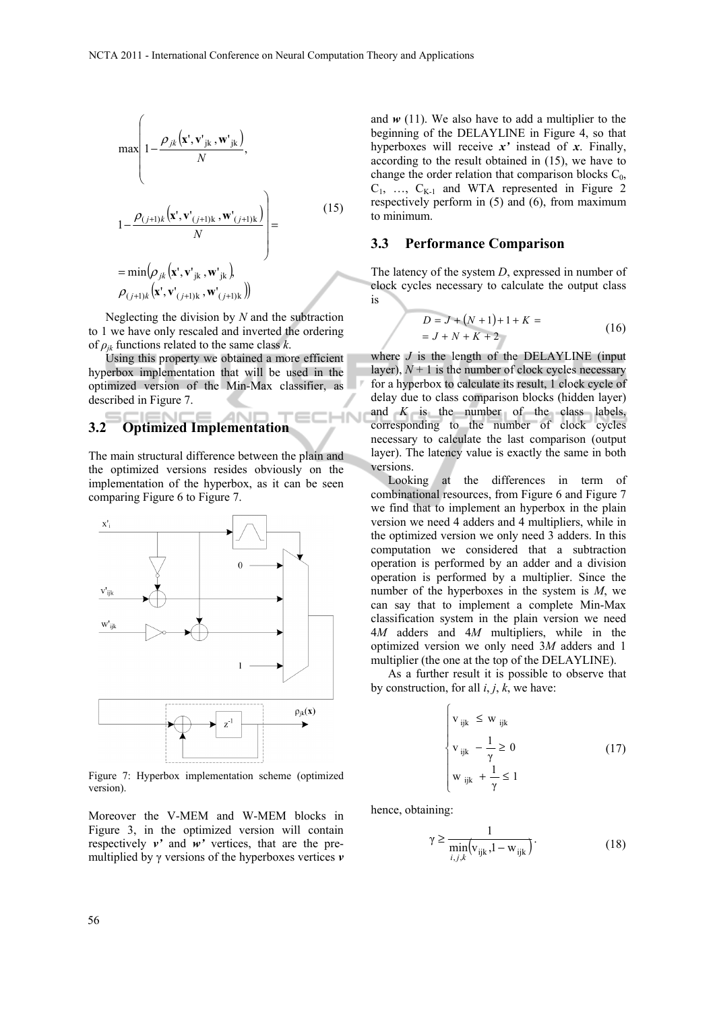$$
\max\left(1-\frac{\rho_{jk}(\mathbf{x}',\mathbf{v}_{jk}',\mathbf{w'}_{jk})}{N},\right.\newline 1-\frac{\rho_{(j+1)k}(\mathbf{x}',\mathbf{v'}_{(j+1)k},\mathbf{w'}_{(j+1)k})}{N}\right)=\n= \min(\rho_{jk}(\mathbf{x}',\mathbf{v'}_{jk},\mathbf{w'}_{jk})\newline \rho_{(j+1)k}(\mathbf{x}',\mathbf{v'}_{(j+1)k},\mathbf{w'}_{(j+1)k}))
$$
\n(15)

Neglecting the division by *N* and the subtraction to 1 we have only rescaled and inverted the ordering of  $\rho_{ik}$  functions related to the same class *k*.

Using this property we obtained a more efficient hyperbox implementation that will be used in the optimized version of the Min-Max classifier, as described in Figure 7.

# **3.2 Optimized Implementation**

The main structural difference between the plain and the optimized versions resides obviously on the implementation of the hyperbox, as it can be seen comparing Figure 6 to Figure 7.



Figure 7: Hyperbox implementation scheme (optimized version).

Moreover the V-MEM and W-MEM blocks in Figure 3, in the optimized version will contain respectively *v'* and *w'* vertices, that are the premultiplied by γ versions of the hyperboxes vertices *v*

and  $w(11)$ . We also have to add a multiplier to the beginning of the DELAYLINE in Figure 4, so that hyperboxes will receive *x'* instead of *x*. Finally, according to the result obtained in (15), we have to change the order relation that comparison blocks  $C_0$ ,  $C_1$ , ...,  $C_{K-1}$  and WTA represented in Figure 2 respectively perform in (5) and (6), from maximum to minimum.

### **3.3 Performance Comparison**

The latency of the system *D*, expressed in number of clock cycles necessary to calculate the output class is

$$
D = J + (N + 1) + 1 + K =
$$
  
= J + N + K + 2 (16)

where  $J$  is the length of the DELAYLINE (input layer),  $N+1$  is the number of clock cycles necessary for a hyperbox to calculate its result, 1 clock cycle of delay due to class comparison blocks (hidden layer) and *K* is the number of the class labels, corresponding to the number of clock cycles necessary to calculate the last comparison (output layer). The latency value is exactly the same in both versions.

Looking at the differences in term of combinational resources, from Figure 6 and Figure 7 we find that to implement an hyperbox in the plain version we need 4 adders and 4 multipliers, while in the optimized version we only need 3 adders. In this computation we considered that a subtraction operation is performed by an adder and a division operation is performed by a multiplier. Since the number of the hyperboxes in the system is *M*, we can say that to implement a complete Min-Max classification system in the plain version we need 4*M* adders and 4*M* multipliers, while in the optimized version we only need 3*M* adders and 1 multiplier (the one at the top of the DELAYLINE).

As a further result it is possible to observe that by construction, for all *i*, *j*, *k*, we have:

$$
\begin{cases}\n\mathbf{v}_{ijk} \leq \mathbf{w}_{ijk} \\
\mathbf{v}_{ijk} - \frac{1}{\gamma} \geq 0 \\
\mathbf{w}_{ijk} + \frac{1}{\gamma} \leq 1\n\end{cases}
$$
\n(17)

hence, obtaining:

1N

$$
\gamma \ge \frac{1}{\min_{i,j,k} \left(\mathbf{v}_{ijk}, 1 - \mathbf{w}_{ijk}\right)}.
$$
\n(18)